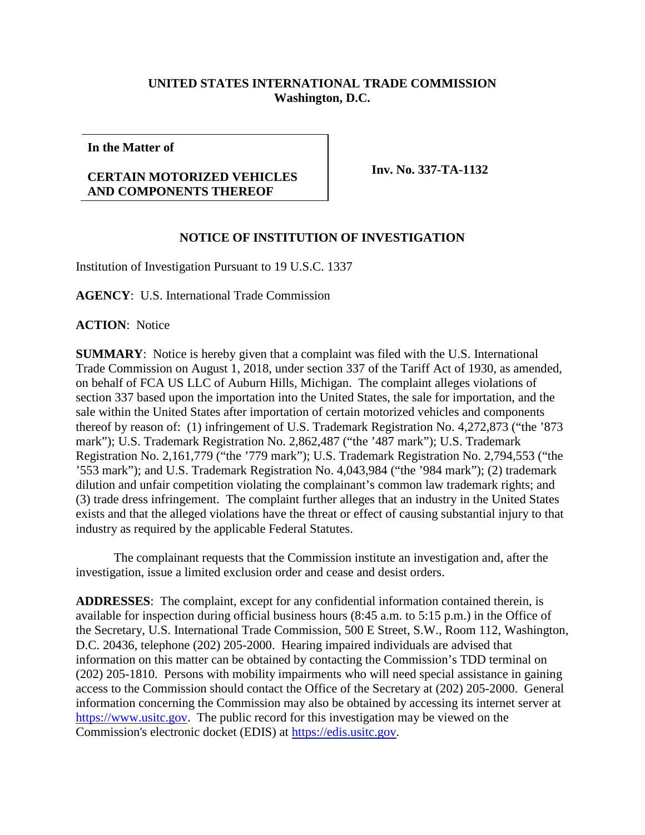## **UNITED STATES INTERNATIONAL TRADE COMMISSION Washington, D.C.**

**In the Matter of**

## **CERTAIN MOTORIZED VEHICLES AND COMPONENTS THEREOF**

**Inv. No. 337-TA-1132**

## **NOTICE OF INSTITUTION OF INVESTIGATION**

Institution of Investigation Pursuant to 19 U.S.C. 1337

**AGENCY**: U.S. International Trade Commission

**ACTION**: Notice

**SUMMARY**: Notice is hereby given that a complaint was filed with the U.S. International Trade Commission on August 1, 2018, under section 337 of the Tariff Act of 1930, as amended, on behalf of FCA US LLC of Auburn Hills, Michigan. The complaint alleges violations of section 337 based upon the importation into the United States, the sale for importation, and the sale within the United States after importation of certain motorized vehicles and components thereof by reason of: (1) infringement of U.S. Trademark Registration No. 4,272,873 ("the '873 mark"); U.S. Trademark Registration No. 2,862,487 ("the '487 mark"); U.S. Trademark Registration No. 2,161,779 ("the '779 mark"); U.S. Trademark Registration No. 2,794,553 ("the '553 mark"); and U.S. Trademark Registration No. 4,043,984 ("the '984 mark"); (2) trademark dilution and unfair competition violating the complainant's common law trademark rights; and (3) trade dress infringement. The complaint further alleges that an industry in the United States exists and that the alleged violations have the threat or effect of causing substantial injury to that industry as required by the applicable Federal Statutes.

The complainant requests that the Commission institute an investigation and, after the investigation, issue a limited exclusion order and cease and desist orders.

**ADDRESSES**: The complaint, except for any confidential information contained therein, is available for inspection during official business hours (8:45 a.m. to 5:15 p.m.) in the Office of the Secretary, U.S. International Trade Commission, 500 E Street, S.W., Room 112, Washington, D.C. 20436, telephone (202) 205-2000. Hearing impaired individuals are advised that information on this matter can be obtained by contacting the Commission's TDD terminal on (202) 205-1810. Persons with mobility impairments who will need special assistance in gaining access to the Commission should contact the Office of the Secretary at (202) 205-2000. General information concerning the Commission may also be obtained by accessing its internet server at [https://www.usitc.gov.](https://www.usitc.gov/) The public record for this investigation may be viewed on the Commission's electronic docket (EDIS) at [https://edis.usitc.gov.](https://edis.usitc.gov/)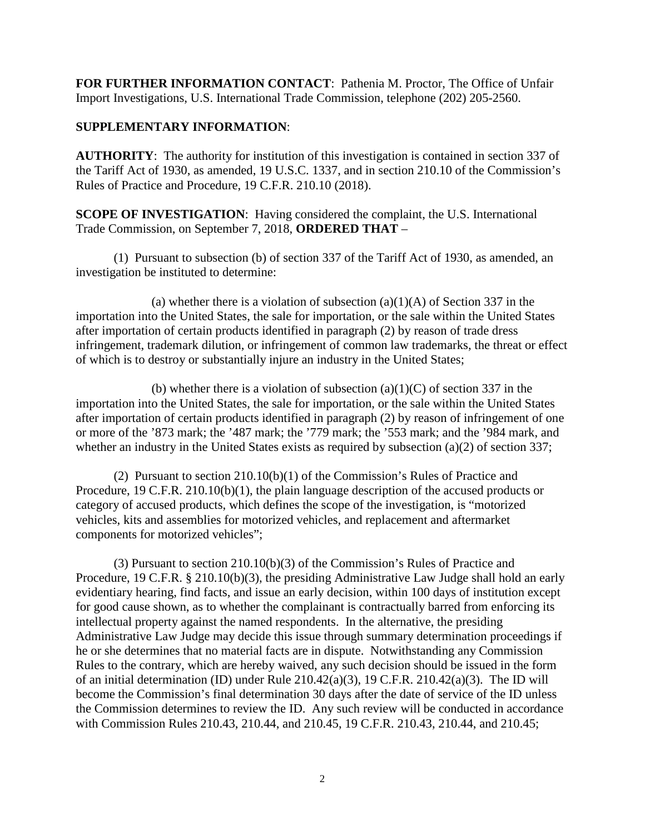**FOR FURTHER INFORMATION CONTACT**: Pathenia M. Proctor, The Office of Unfair Import Investigations, U.S. International Trade Commission, telephone (202) 205-2560.

## **SUPPLEMENTARY INFORMATION**:

**AUTHORITY**: The authority for institution of this investigation is contained in section 337 of the Tariff Act of 1930, as amended, 19 U.S.C. 1337, and in section 210.10 of the Commission's Rules of Practice and Procedure, 19 C.F.R. 210.10 (2018).

**SCOPE OF INVESTIGATION:** Having considered the complaint, the U.S. International Trade Commission, on September 7, 2018, **ORDERED THAT** –

(1) Pursuant to subsection (b) of section 337 of the Tariff Act of 1930, as amended, an investigation be instituted to determine:

(a) whether there is a violation of subsection  $(a)(1)(A)$  of Section 337 in the importation into the United States, the sale for importation, or the sale within the United States after importation of certain products identified in paragraph (2) by reason of trade dress infringement, trademark dilution, or infringement of common law trademarks, the threat or effect of which is to destroy or substantially injure an industry in the United States;

(b) whether there is a violation of subsection  $(a)(1)(C)$  of section 337 in the importation into the United States, the sale for importation, or the sale within the United States after importation of certain products identified in paragraph (2) by reason of infringement of one or more of the '873 mark; the '487 mark; the '779 mark; the '553 mark; and the '984 mark, and whether an industry in the United States exists as required by subsection (a)(2) of section 337;

(2) Pursuant to section 210.10(b)(1) of the Commission's Rules of Practice and Procedure, 19 C.F.R. 210.10(b)(1), the plain language description of the accused products or category of accused products, which defines the scope of the investigation, is "motorized vehicles, kits and assemblies for motorized vehicles, and replacement and aftermarket components for motorized vehicles";

(3) Pursuant to section 210.10(b)(3) of the Commission's Rules of Practice and Procedure, 19 C.F.R. § 210.10(b)(3), the presiding Administrative Law Judge shall hold an early evidentiary hearing, find facts, and issue an early decision, within 100 days of institution except for good cause shown, as to whether the complainant is contractually barred from enforcing its intellectual property against the named respondents. In the alternative, the presiding Administrative Law Judge may decide this issue through summary determination proceedings if he or she determines that no material facts are in dispute. Notwithstanding any Commission Rules to the contrary, which are hereby waived, any such decision should be issued in the form of an initial determination (ID) under Rule 210.42(a)(3), 19 C.F.R. 210.42(a)(3). The ID will become the Commission's final determination 30 days after the date of service of the ID unless the Commission determines to review the ID. Any such review will be conducted in accordance with Commission Rules 210.43, 210.44, and 210.45, 19 C.F.R. 210.43, 210.44, and 210.45;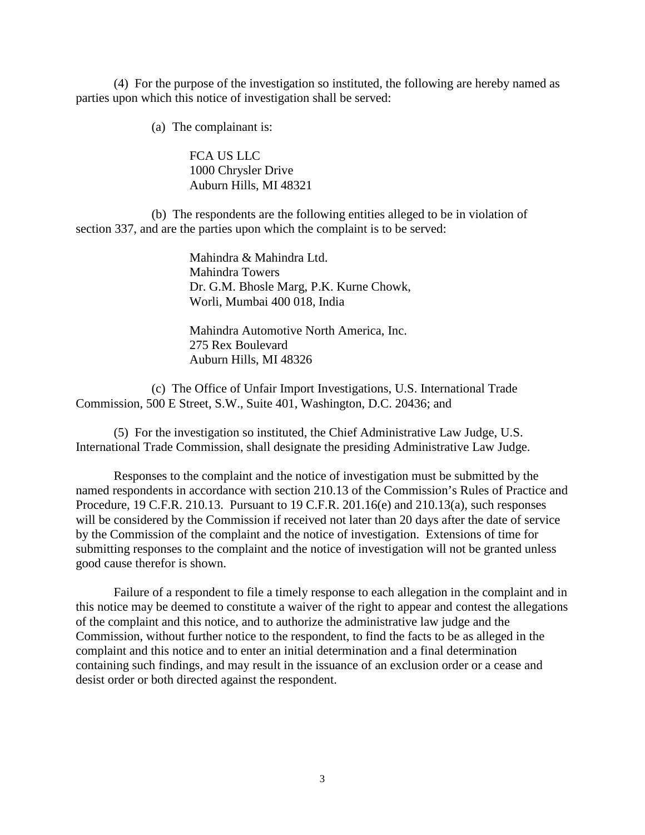(4) For the purpose of the investigation so instituted, the following are hereby named as parties upon which this notice of investigation shall be served:

(a) The complainant is:

FCA US LLC 1000 Chrysler Drive Auburn Hills, MI 48321

(b) The respondents are the following entities alleged to be in violation of section 337, and are the parties upon which the complaint is to be served:

> Mahindra & Mahindra Ltd. Mahindra Towers Dr. G.M. Bhosle Marg, P.K. Kurne Chowk, Worli, Mumbai 400 018, India

Mahindra Automotive North America, Inc. 275 Rex Boulevard Auburn Hills, MI 48326

(c) The Office of Unfair Import Investigations, U.S. International Trade Commission, 500 E Street, S.W., Suite 401, Washington, D.C. 20436; and

(5) For the investigation so instituted, the Chief Administrative Law Judge, U.S. International Trade Commission, shall designate the presiding Administrative Law Judge.

Responses to the complaint and the notice of investigation must be submitted by the named respondents in accordance with section 210.13 of the Commission's Rules of Practice and Procedure, 19 C.F.R. 210.13. Pursuant to 19 C.F.R. 201.16(e) and 210.13(a), such responses will be considered by the Commission if received not later than 20 days after the date of service by the Commission of the complaint and the notice of investigation. Extensions of time for submitting responses to the complaint and the notice of investigation will not be granted unless good cause therefor is shown.

Failure of a respondent to file a timely response to each allegation in the complaint and in this notice may be deemed to constitute a waiver of the right to appear and contest the allegations of the complaint and this notice, and to authorize the administrative law judge and the Commission, without further notice to the respondent, to find the facts to be as alleged in the complaint and this notice and to enter an initial determination and a final determination containing such findings, and may result in the issuance of an exclusion order or a cease and desist order or both directed against the respondent.